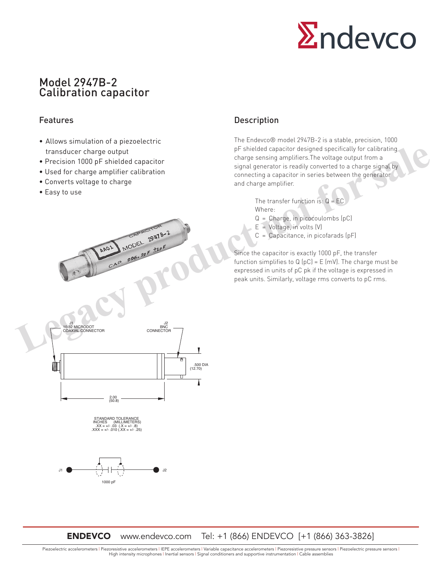

# Model 2947B-2 Calibration capacitor

## Features

- Allows simulation of a piezoelectric transducer charge output
- Precision 1000 pF shielded capacitor
- Used for charge amplifier calibration
- Converts voltage to charge
- Easy to use

## Description

The Endevco® model 2947B-2 is a stable, precision, 1000 pF shielded capacitor designed specifically for calibrating charge sensing amplifiers.The voltage output from a signal generator is readily converted to a charge signal by connecting a capacitor in series between the generator and charge amplifier.

> The transfer function is:  $Q = EC$ Where:

- Q = Charge, in picocoulombs (pC)
- $E =$  Voltage, in volts  $(V)$
- $C =$  Capacitance, in picofarads  $(pF)$

Since the capacitor is exactly 1000 pF, the transfer function simplifies to  $Q(pC) = E(mV)$ . The charge must be expressed in units of pC pk if the voltage is expressed in peak units. Similarly, voltage rms converts to pC rms.



STANDARD TOLERANCE<br>
INCHES (MILLIMETERS)<br>
.XX = +/- .03 (.X = +/- .8)<br>
.XXX = +/- .010 (.XX = +/- .25)



ENDEVCO www.endevco.com Tel: +1 (866) ENDEVCO [+1 (866) 363-3826]